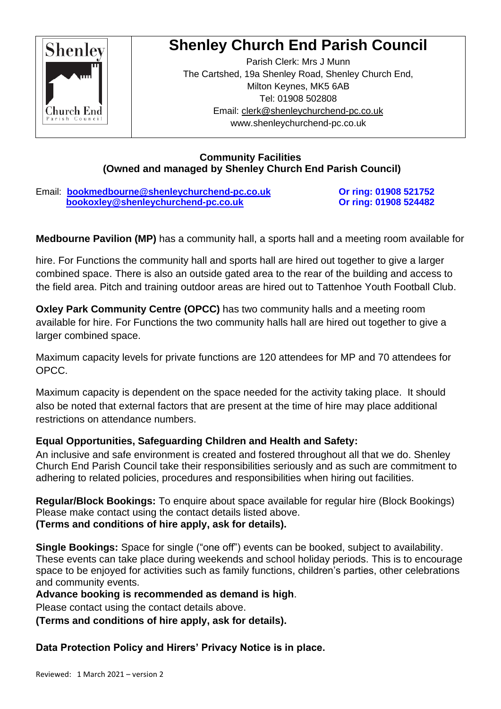

# **Shenley Church End Parish Council**

Parish Clerk: Mrs J Munn The Cartshed, 19a Shenley Road, Shenley Church End, Milton Keynes, MK5 6AB Tel: 01908 502808 Email: [clerk@shenleychurchend-pc.co.uk](mailto:clerk@shenleychurchend-pc.co.uk) www.shenleychurchend-pc.co.uk

#### **Community Facilities (Owned and managed by Shenley Church End Parish Council)**

Email: **[bookmedbourne@shenleychurchend-pc.co.uk](mailto:bookmedbourne@shenleychurchend-pc.co.uk) Or ring: 01908 521752 [bookoxley@shenleychurchend-pc.co.uk](mailto:bookoxley@shenleychurchend-pc.co.uk)** Or ring: 01908 524482

**Medbourne Pavilion (MP)** has a community hall, a sports hall and a meeting room available for

hire. For Functions the community hall and sports hall are hired out together to give a larger combined space. There is also an outside gated area to the rear of the building and access to the field area. Pitch and training outdoor areas are hired out to Tattenhoe Youth Football Club.

**Oxley Park Community Centre (OPCC)** has two community halls and a meeting room available for hire. For Functions the two community halls hall are hired out together to give a larger combined space.

Maximum capacity levels for private functions are 120 attendees for MP and 70 attendees for OPCC.

Maximum capacity is dependent on the space needed for the activity taking place. It should also be noted that external factors that are present at the time of hire may place additional restrictions on attendance numbers.

## **Equal Opportunities, Safeguarding Children and Health and Safety:**

An inclusive and safe environment is created and fostered throughout all that we do. Shenley Church End Parish Council take their responsibilities seriously and as such are commitment to adhering to related policies, procedures and responsibilities when hiring out facilities.

**Regular/Block Bookings:** To enquire about space available for regular hire (Block Bookings) Please make contact using the contact details listed above. **(Terms and conditions of hire apply, ask for details).**

**Single Bookings:** Space for single ("one off") events can be booked, subject to availability. These events can take place during weekends and school holiday periods. This is to encourage space to be enjoyed for activities such as family functions, children's parties, other celebrations and community events.

**Advance booking is recommended as demand is high**.

Please contact using the contact details above.

**(Terms and conditions of hire apply, ask for details).** 

**Data Protection Policy and Hirers' Privacy Notice is in place.**